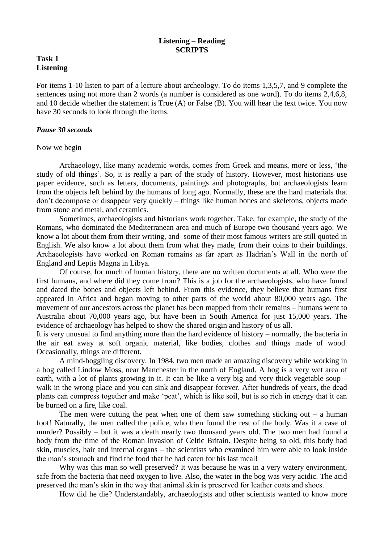# **Listening – Reading SCRIPTS**

# **Task 1 Listening**

For items 1-10 listen to part of a lecture about archeology. To do items 1,3,5,7, and 9 complete the sentences using not more than 2 words (a number is considered as one word). To do items 2,4,6,8, and 10 decide whether the statement is True (A) or False (B). You will hear the text twice. You now have 30 seconds to look through the items.

#### *Pause 30 seconds*

#### Now we begin

Archaeology, like many academic words, comes from Greek and means, more or less, 'the study of old things'. So, it is really a part of the study of history. However, most historians use paper evidence, such as letters, documents, paintings and photographs, but archaeologists learn from the objects left behind by the humans of long ago. Normally, these are the hard materials that don't decompose or disappear very quickly – things like human bones and skeletons, objects made from stone and metal, and ceramics.

Sometimes, archaeologists and historians work together. Take, for example, the study of the Romans, who dominated the Mediterranean area and much of Europe two thousand years ago. We know a lot about them from their writing, and some of their most famous writers are still quoted in English. We also know a lot about them from what they made, from their coins to their buildings. Archaeologists have worked on Roman remains as far apart as Hadrian's Wall in the north of England and Leptis Magna in Libya.

Of course, for much of human history, there are no written documents at all. Who were the first humans, and where did they come from? This is a job for the archaeologists, who have found and dated the bones and objects left behind. From this evidence, they believe that humans first appeared in Africa and began moving to other parts of the world about 80,000 years ago. The movement of our ancestors across the planet has been mapped from their remains – humans went to Australia about 70,000 years ago, but have been in South America for just 15,000 years. The evidence of archaeology has helped to show the shared origin and history of us all.

It is very unusual to find anything more than the hard evidence of history – normally, the bacteria in the air eat away at soft organic material, like bodies, clothes and things made of wood. Occasionally, things are different.

A mind-boggling discovery. In 1984, two men made an amazing discovery while working in a bog called Lindow Moss, near Manchester in the north of England. A bog is a very wet area of earth, with a lot of plants growing in it. It can be like a very big and very thick vegetable soup – walk in the wrong place and you can sink and disappear forever. After hundreds of years, the dead plants can compress together and make 'peat', which is like soil, but is so rich in energy that it can be burned on a fire, like coal.

The men were cutting the peat when one of them saw something sticking out  $-$  a human foot! Naturally, the men called the police, who then found the rest of the body. Was it a case of murder? Possibly – but it was a death nearly two thousand years old. The two men had found a body from the time of the Roman invasion of Celtic Britain. Despite being so old, this body had skin, muscles, hair and internal organs – the scientists who examined him were able to look inside the man's stomach and find the food that he had eaten for his last meal!

Why was this man so well preserved? It was because he was in a very watery environment, safe from the bacteria that need oxygen to live. Also, the water in the bog was very acidic. The acid preserved the man's skin in the way that animal skin is preserved for leather coats and shoes.

How did he die? Understandably, archaeologists and other scientists wanted to know more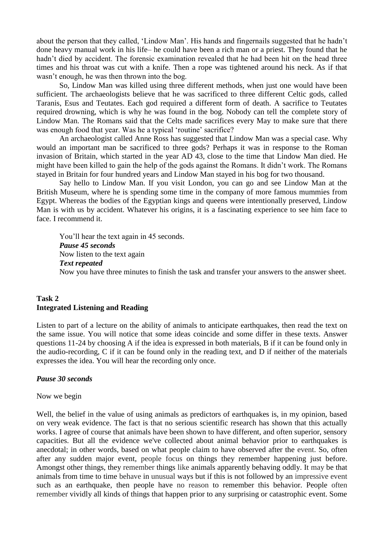about the person that they called, 'Lindow Man'. His hands and fingernails suggested that he hadn't done heavy manual work in his life– he could have been a rich man or a priest. They found that he hadn't died by accident. The forensic examination revealed that he had been hit on the head three times and his throat was cut with a knife. Then a rope was tightened around his neck. As if that wasn't enough, he was then thrown into the bog.

So, Lindow Man was killed using three different methods, when just one would have been sufficient. The archaeologists believe that he was sacrificed to three different Celtic gods, called Taranis, Esus and Teutates. Each god required a different form of death. A sacrifice to Teutates required drowning, which is why he was found in the bog. Nobody can tell the complete story of Lindow Man. The Romans said that the Celts made sacrifices every May to make sure that there was enough food that year. Was he a typical 'routine' sacrifice?

An archaeologist called Anne Ross has suggested that Lindow Man was a special case. Why would an important man be sacrificed to three gods? Perhaps it was in response to the Roman invasion of Britain, which started in the year AD 43, close to the time that Lindow Man died. He might have been killed to gain the help of the gods against the Romans. It didn't work. The Romans stayed in Britain for four hundred years and Lindow Man stayed in his bog for two thousand.

Say hello to Lindow Man. If you visit London, you can go and see Lindow Man at the British Museum, where he is spending some time in the company of more famous mummies from Egypt. Whereas the bodies of the Egyptian kings and queens were intentionally preserved, Lindow Man is with us by accident. Whatever his origins, it is a fascinating experience to see him face to face. I recommend it.

You'll hear the text again in 45 seconds. *Pause 45 seconds* Now listen to the text again *Text repeated* Now you have three minutes to finish the task and transfer your answers to the answer sheet.

# **Task 2 Integrated Listening and Reading**

Listen to part of a lecture on the ability of animals to anticipate earthquakes, then read the text on the same issue. You will notice that some ideas coincide and some differ in these texts. Answer questions 11-24 by choosing A if the idea is expressed in both materials, B if it can be found only in the audio-recording, C if it can be found only in the reading text, and D if neither of the materials expresses the idea. You will hear the recording only once.

# *Pause 30 seconds*

#### Now we begin

Well, the belief in the value of using animals as predictors of earthquakes is, in my opinion, based on very weak evidence. The fact is that no serious scientific research has shown that this actually works. I agree of course that animals have been shown to have different, and often superior, sensory capacities. But all the evidence we've collected about animal behavior prior to earthquakes is anecdotal; in other words, based on what people claim to have observed after the event. So, often after any sudden major event, people focus on things they remember happening just before. Amongst other things, they remember things like animals apparently behaving oddly. It may be that animals from time to time behave in unusual ways but if this is not followed by an impressive event such as an earthquake, then people have no reason to remember this behavior. People often remember vividly all kinds of things that happen prior to any surprising or catastrophic event. Some